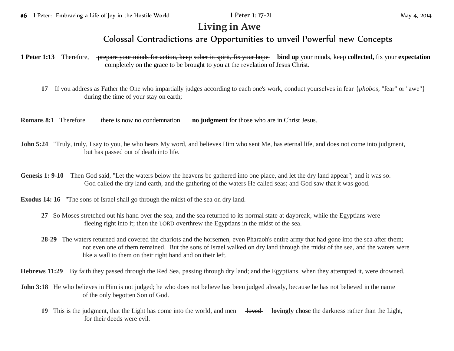## **Living in Awe**

## Colossal Contradictions are Opportunities to unveil Powerful new Concepts

**1 Peter 1:13** Therefore, prepare your minds for action, keep sober in spirit, fix your hope **bind up** your minds, keep **collected,** fix your **expectation** completely on the grace to be brought to you at the revelation of Jesus Christ.

**17** If you address as Father the One who impartially judges according to each one's work, conduct yourselves in fear {*phobos,* "fear" or "awe"} during the time of your stay on earth;

**Romans 8:1** Therefore there is now no condemnation **no judgment** for those who are in Christ Jesus.

- **John 5:24** "Truly, truly, I say to you, he who hears My word, and believes Him who sent Me, has eternal life, and does not come into judgment, but has passed out of death into life.
- **Genesis 1: 9-10** Then God said, "Let the waters below the heavens be gathered into one place, and let the dry land appear"; and it was so. God called the dry land earth, and the gathering of the waters He called seas; and God saw that it was good.
- **Exodus 14: 16** "The sons of Israel shall go through the midst of the sea on dry land.
	- **27** So Moses stretched out his hand over the sea, and the sea returned to its normal state at daybreak, while the Egyptians were fleeing right into it; then the LORD overthrew the Egyptians in the midst of the sea.
	- **28-29** The waters returned and covered the chariots and the horsemen, even Pharaoh's entire army that had gone into the sea after them; not even one of them remained. But the sons of Israel walked on dry land through the midst of the sea, and the waters were like a wall to them on their right hand and on their left.

**Hebrews 11:29** By faith they passed through the Red Sea, passing through dry land; and the Egyptians, when they attempted it, were drowned.

- **John 3:18** He who believes in Him is not judged; he who does not believe has been judged already, because he has not believed in the name of the only begotten Son of God.
	- **19** This is the judgment, that the Light has come into the world, and men lovingly chose the darkness rather than the Light, for their deeds were evil.